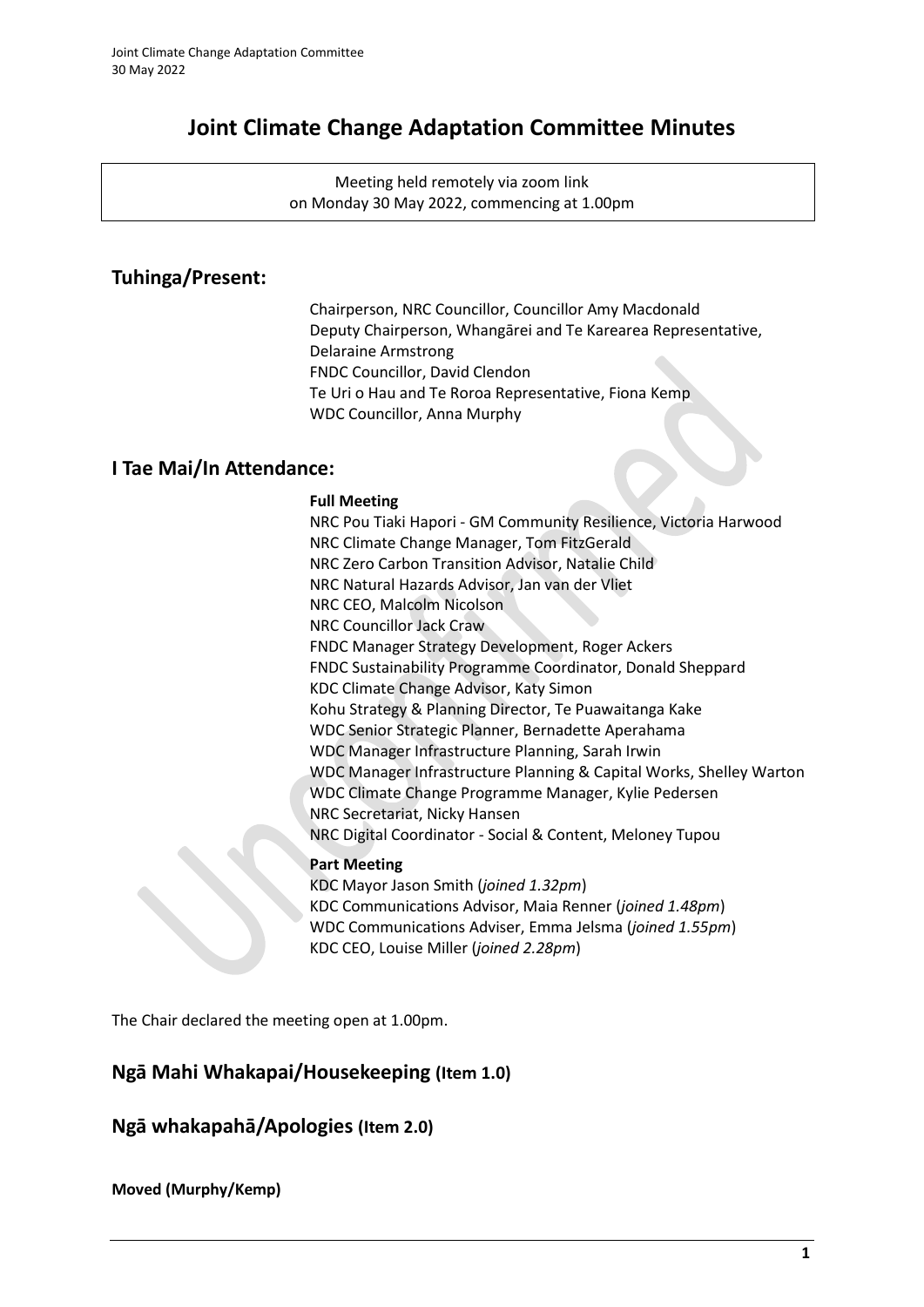# **Joint Climate Change Adaptation Committee Minutes**

Meeting held remotely via zoom link on Monday 30 May 2022, commencing at 1.00pm

## **Tuhinga/Present:**

Chairperson, NRC Councillor, Councillor Amy Macdonald Deputy Chairperson, Whangārei and Te Karearea Representative, Delaraine Armstrong FNDC Councillor, David Clendon Te Uri o Hau and Te Roroa Representative, Fiona Kemp WDC Councillor, Anna Murphy

## **I Tae Mai/In Attendance:**

#### **Full Meeting**

NRC Pou Tiaki Hapori - GM Community Resilience, Victoria Harwood NRC Climate Change Manager, Tom FitzGerald NRC Zero Carbon Transition Advisor, Natalie Child NRC Natural Hazards Advisor, Jan van der Vliet NRC CEO, Malcolm Nicolson NRC Councillor Jack Craw FNDC Manager Strategy Development, Roger Ackers FNDC Sustainability Programme Coordinator, Donald Sheppard KDC Climate Change Advisor, Katy Simon Kohu Strategy & Planning Director, Te Puawaitanga Kake WDC Senior Strategic Planner, Bernadette Aperahama WDC Manager Infrastructure Planning, Sarah Irwin WDC Manager Infrastructure Planning & Capital Works, Shelley Warton WDC Climate Change Programme Manager, Kylie Pedersen NRC Secretariat, Nicky Hansen NRC Digital Coordinator - Social & Content, Meloney Tupou

### **Part Meeting**

KDC Mayor Jason Smith (*joined 1.32pm*) KDC Communications Advisor, Maia Renner (*joined 1.48pm*) WDC Communications Adviser, Emma Jelsma (*joined 1.55pm*) KDC CEO, Louise Miller (*joined 2.28pm*)

The Chair declared the meeting open at 1.00pm.

## **Ngā Mahi Whakapai/Housekeeping (Item 1.0)**

## **Ngā whakapahā/Apologies (Item 2.0)**

**Moved (Murphy/Kemp)**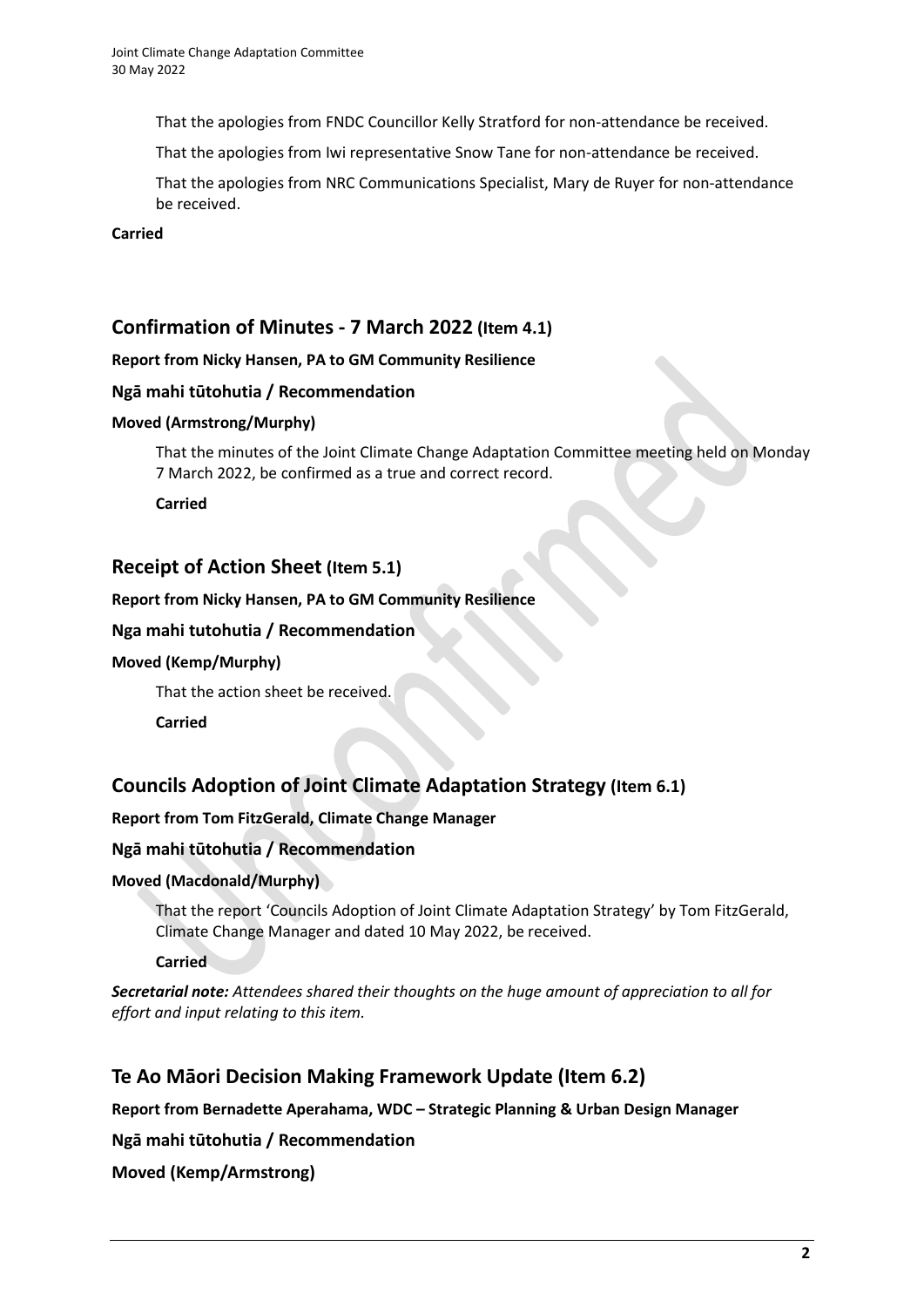That the apologies from FNDC Councillor Kelly Stratford for non-attendance be received.

That the apologies from Iwi representative Snow Tane for non-attendance be received.

That the apologies from NRC Communications Specialist, Mary de Ruyer for non-attendance be received.

### **Carried**

## **Confirmation of Minutes - 7 March 2022 (Item 4.1)**

#### **Report from Nicky Hansen, PA to GM Community Resilience**

### **Ngā mahi tūtohutia / Recommendation**

#### **Moved (Armstrong/Murphy)**

That the minutes of the Joint Climate Change Adaptation Committee meeting held on Monday 7 March 2022, be confirmed as a true and correct record.

**Carried**

### **Receipt of Action Sheet (Item 5.1)**

#### **Report from Nicky Hansen, PA to GM Community Resilience**

#### **Nga mahi tutohutia / Recommendation**

#### **Moved (Kemp/Murphy)**

That the action sheet be received.

**Carried**

## **Councils Adoption of Joint Climate Adaptation Strategy (Item 6.1)**

### **Report from Tom FitzGerald, Climate Change Manager**

### **Ngā mahi tūtohutia / Recommendation**

### **Moved (Macdonald/Murphy)**

That the report 'Councils Adoption of Joint Climate Adaptation Strategy' by Tom FitzGerald, Climate Change Manager and dated 10 May 2022, be received.

**Carried**

*Secretarial note: Attendees shared their thoughts on the huge amount of appreciation to all for effort and input relating to this item.*

## **Te Ao Māori Decision Making Framework Update (Item 6.2)**

**Report from Bernadette Aperahama, WDC – Strategic Planning & Urban Design Manager**

### **Ngā mahi tūtohutia / Recommendation**

**Moved (Kemp/Armstrong)**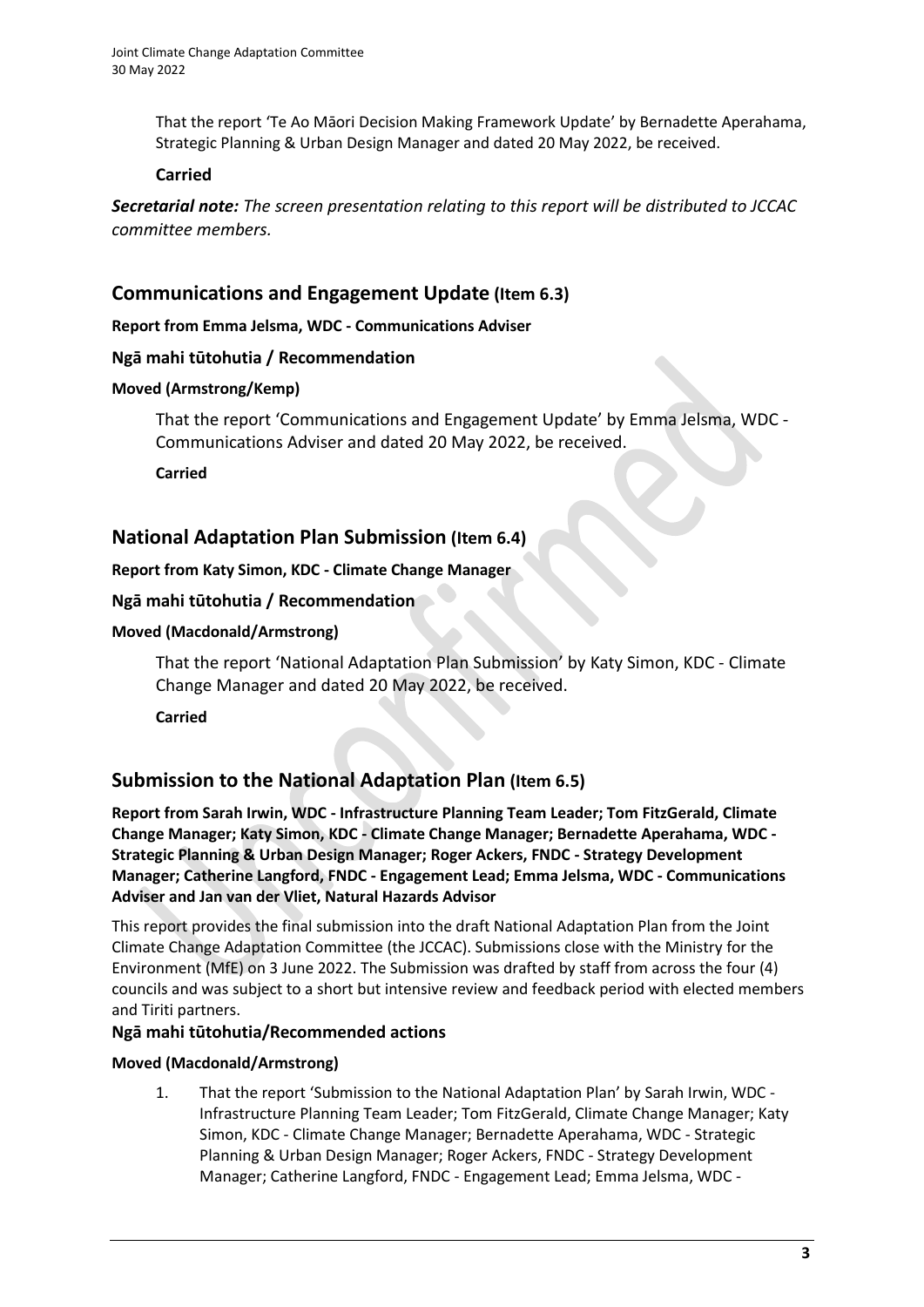That the report 'Te Ao Māori Decision Making Framework Update' by Bernadette Aperahama, Strategic Planning & Urban Design Manager and dated 20 May 2022, be received.

### **Carried**

*Secretarial note: The screen presentation relating to this report will be distributed to JCCAC committee members.*

## **Communications and Engagement Update (Item 6.3)**

**Report from Emma Jelsma, WDC - Communications Adviser**

### **Ngā mahi tūtohutia / Recommendation**

#### **Moved (Armstrong/Kemp)**

That the report 'Communications and Engagement Update' by Emma Jelsma, WDC - Communications Adviser and dated 20 May 2022, be received.

**Carried**

## **National Adaptation Plan Submission (Item 6.4)**

**Report from Katy Simon, KDC - Climate Change Manager**

### **Ngā mahi tūtohutia / Recommendation**

#### **Moved (Macdonald/Armstrong)**

That the report 'National Adaptation Plan Submission' by Katy Simon, KDC - Climate Change Manager and dated 20 May 2022, be received.

**Carried**

## **Submission to the National Adaptation Plan (Item 6.5)**

**Report from Sarah Irwin, WDC - Infrastructure Planning Team Leader; Tom FitzGerald, Climate Change Manager; Katy Simon, KDC - Climate Change Manager; Bernadette Aperahama, WDC - Strategic Planning & Urban Design Manager; Roger Ackers, FNDC - Strategy Development Manager; Catherine Langford, FNDC - Engagement Lead; Emma Jelsma, WDC - Communications Adviser and Jan van der Vliet, Natural Hazards Advisor**

This report provides the final submission into the draft National Adaptation Plan from the Joint Climate Change Adaptation Committee (the JCCAC). Submissions close with the Ministry for the Environment (MfE) on 3 June 2022. The Submission was drafted by staff from across the four (4) councils and was subject to a short but intensive review and feedback period with elected members and Tiriti partners.

### **Ngā mahi tūtohutia/Recommended actions**

#### **Moved (Macdonald/Armstrong)**

1. That the report 'Submission to the National Adaptation Plan' by Sarah Irwin, WDC - Infrastructure Planning Team Leader; Tom FitzGerald, Climate Change Manager; Katy Simon, KDC - Climate Change Manager; Bernadette Aperahama, WDC - Strategic Planning & Urban Design Manager; Roger Ackers, FNDC - Strategy Development Manager; Catherine Langford, FNDC - Engagement Lead; Emma Jelsma, WDC -